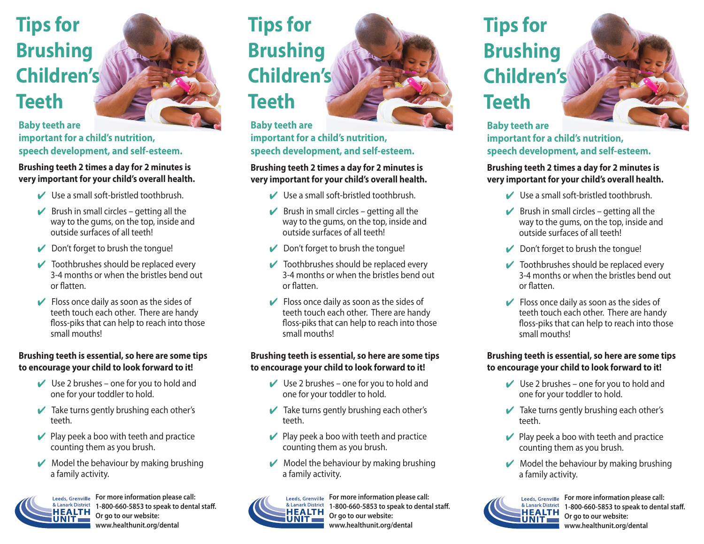# **Tips for Brushing Children's Teeth**

**Baby teeth are important for a child's nutrition, speech development, and self-esteem.** 

### **Brushing teeth 2 times a day for 2 minutes is very important for your child's overall health.**

- Use a small soft-bristled toothbrush.
- $\triangleright$  Brush in small circles getting all the way to the gums, on the top, inside and outside surfaces of all teeth!
- $\triangleright$  Don't forget to brush the tongue!
- $\triangleright$  Toothbrushes should be replaced every 3-4 months or when the bristles bend out or flatten.
- $\triangleright$  Floss once daily as soon as the sides of teeth touch each other. There are handy floss-piks that can help to reach into those small mouths!

## **Brushing teeth is essential, so here are some tips to encourage your child to look forward to it!**

- $\vee$  Use 2 brushes one for you to hold and one for your toddler to hold.
- $\triangleright$  Take turns gently brushing each other's teeth.
- $\vee$  Play peek a boo with teeth and practice counting them as you brush.
- $\vee$  Model the behaviour by making brushing a family activity.



**For more information please call: 1-800-660-5853 to speak to dental staff. Or go to our website: www.healthunit.org/dental**